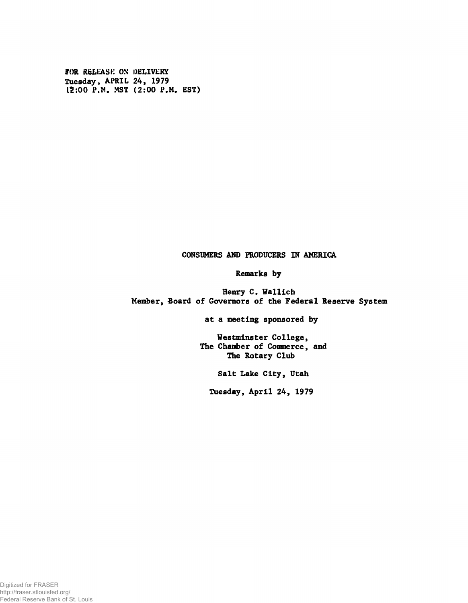FOR RELEASE ON DELIVERY Tuesday, APRIL 24, 1979 12:00 P.M. MST (2:00 P.M. EST)

## CONSUMERS AMD PRODUCERS IN AMERICA

## Remarks by

Henry C. Wallich Member, Board of Governors of the Federal Reserve System

at a meeting sponsored by

Westminster College, The Chamber of Commerce, and The Rotary Club

Salt Lake City, Utah

Tuesday, April 24, 1979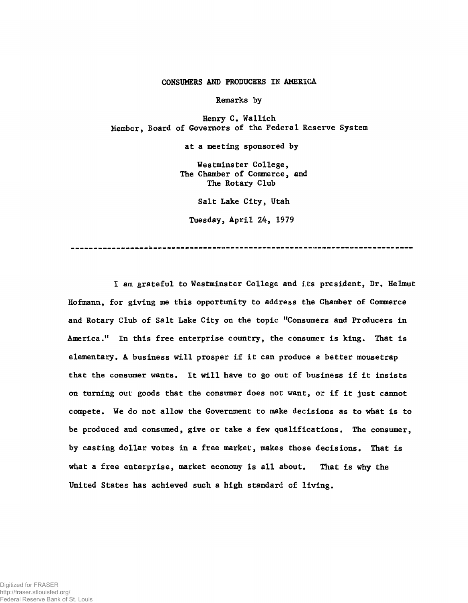## CONSUMERS AND PRODUCERS IN AMERICA

Remarks by

Henry C. Wallich Member, Board of Governors of the Federal Reserve System

at a meeting sponsored by

Westminster College, The Chamber of Commerce, and The Rotary Club

Salt Lake City, Utah

Tuesday, April 24, 1979

I am grateful to Westminster College and i.ts president, Dr. Helmut Hofmann, for giving me this opportunity to address the Chamber of Commerce and Rotary Club of Salt Lake City on the topic "Consumers and Producers in America." In this free enterprise country, the consumer is king. That is elementary. A business will prosper if it can produce a better mousetrap that the consumer wants. It will have to go out of business if it insists on turning out: goods that the consumer does not want, or if it just cannot compete. We do not allow the Government to make decisions as to what is to be produced and consumed, give or take a few qualifications. The consumer, by casting dollar votes in a free market, makes those decisions. That is what a free enterprise, market economy is all about. That is why the United States has achieved such a high standard of living.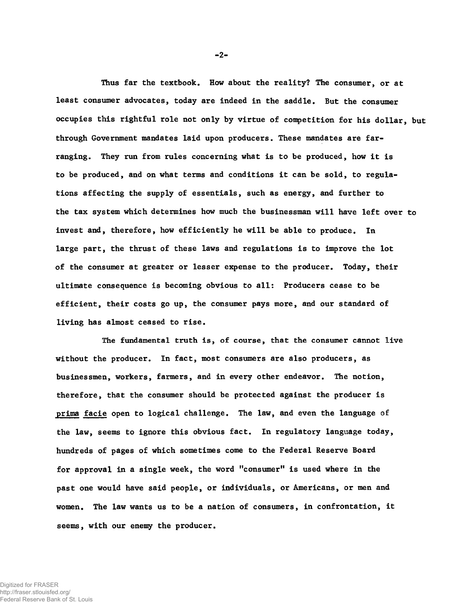Thus far the textbook. How about the reality? The consumer, or at least consumer advocates, today are indeed in the saddle. But the consumer occupies this rightful role not only by virtue of competition for his dollar, but through Government mandates laid upon producers. These mandates are farranging. They run from rules concerning what is to be produced, how it is to be produced, and on what terms and conditions it can be sold, to regulations affecting the supply of essentials, such as energy, and further to the tax system which determines how much the businessman will have left over to invest and, therefore, how efficiently he will be able to produce. In large part, the thrust of these laws and regulations is to improve the lot of the consumer at greater or lesser expense to the producer. Today, their ultimate consequence is becoming obvious to all: Producers cease to be efficient, their costs go up, the consumer pays more, and our standard of living has almost ceased to rise.

The fundamental truth is, of course, that the consumer cannot live without the producer. In fact, most consumers are also producers, as businessmen, workers, farmers, and in every other endeavor. The notion, therefore, that the consumer should be protected against the producer is prima facie open to logical challenge. The law, and even the language of the law, seems to ignore this obvious fact. In regulatory language today, hundreds of pages of which sometimes come to the Federal Reserve Board for approval in a single week, the word "consumer" is used where in the past one would have said people, or individuals, or Americans, or men and women. The law wants us to be a nation of consumers, in confrontation, it seems, with our enemy the producer.

-2-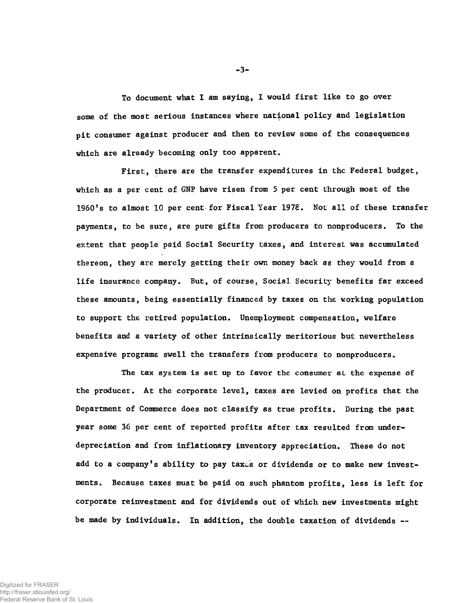To document vhat I am saying, I would first like to go over some of the most serious instances where national policy and legislation pit consumer against producer and then to review some of the consequences which are already becoming only too apparent.

First, there are the transfer expenditures in the Federal budget, which as a per cent of GNP have risen from 5 per cent through most of the 1960's to almost 10 per cent-for Fiscal Year 1978. Not all of these transfer payments, to be sure, are pure gifts from producers to nonproducers. To the extent that people paid Social Security taxes, and interest was accumulated thereon, they are merely getting their own money back as they would from a life insurance company. But, of course, Social Security benefits far exceed these amounts, being essentially financed by taxes on the working population to support the retired population. Unemployment compensation, welfare benefits and a variety of other intrinsically meritorious but nevertheless expensive programs swell the transfers from producers to nonproducers.

The tax system is set up to favor the consumer at the expense of the producer. At the corporate level, taxes are levied on profits that the Department of Commerce does not classify as true profits. During the past year some 3G per cent of reported profits after tax resulted from underdepreciation and from inflationary inventory appreciation. These do not add to a company's ability to pay taxes or dividends or to make new investments. Because taxes must be paid on such phantom profits, less is left for corporate reinvestment and for dividends out of which new investments might be made by individuals. In addition, the double taxation of dividends —

-3-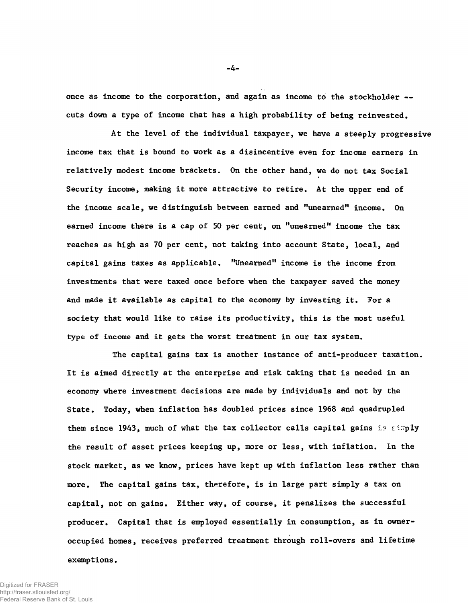once as income to the corporation, and again as income to the stockholder -cuts down a type of income that has a high probability of being reinvested.

At the level of the individual taxpayer, we have a steeply progressive income tax that is bound to work as a disincentive even for income earners in relatively modest income brackets. On the other hand, we do not tax Social Security income, making it more attractive to retire. At the upper end of the income scale, we distinguish between earned and "unearned" income. On earned income there is a cap of 50 per cent, on "unearned" income the tax reaches as high as 70 per cent, not taking into account State, local, and capital gains taxes as applicable. "Unearned" income is the income from investments that were taxed once before when the taxpayer saved the money and made it available as capital to the economy by investing it. For a society that would like to raise its productivity, this is the most useful type of income and it gets the worst treatment in our tax system.

The capital gains tax is another instance of anti-producer taxation. It is aimed directly at the enterprise and risk taking that is needed in an economy where investment decisions are made by individuals and not by the State. Today, when inflation has doubled prices since 1968 and quadrupled them since 1943, much of what the tax collector calls capital gains is strply the result of asset prices keeping up, more or less, with inflation. In the stock market, as we know, prices have kept up with inflation less rather than more. The capital gains tax, therefore, is in large part simply a tax on capital, not on gains. Either way, of course, it penalizes the successful producer. Capital that is employed essentially in consumption, as in owneroccupied homes, receives preferred treatment through roll-overs and lifetime exemptions.

Digitized for FRASER http://fraser.stlouisfed.org/

Federal Reserve Bank of St. Louis

 $-4-$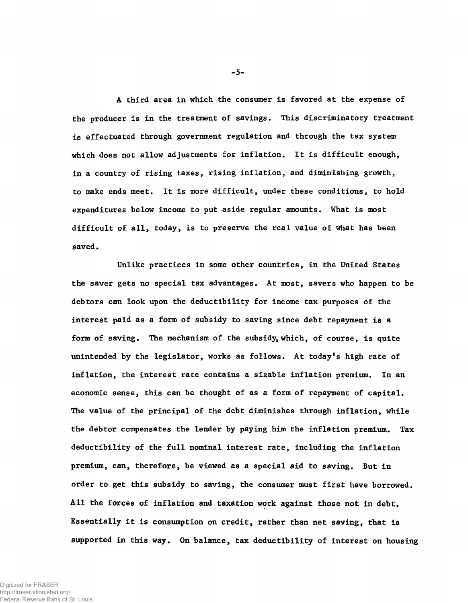A third area in which the consumer is favored at the expense of the producer is in the treatment of savings. This discriminatory treatment is effectuated through government regulation and through the tax system which does not allow adjustments for inflation. It is difficult enough, in a country of rising taxes, rising inflation, and diminishing growth, to make ends meet. It is more difficult, under these conditions, to hold expenditures below income to put aside regular amounts. What is most difficult of all, today, is to preserve the real value of what has been saved.

Unlike practices in some other countries, in the United States the saver gets no special tax advantages. At most, savers who happen to be debtors can look upon the deductibility for income tax purposes of the interest paid as a form of subsidy to saving since debt repayment is a form of saving. The mechanism of the subsidy, which, of course, is quite unintended by the legislator, works as follows. At today's high rate of inflation, the interest rate contains a sizable inflation premium. In an economic sense, this can be thought of as a form of repayment of capital. The value of the principal of the debt diminishes through inflation, while the debtor compensates the lender by paying him the inflation premium. Tax deductibility of the full nominal interest rate, including the inflation premium, can, therefore, be viewed as a special aid to saving. But in order to get this subsidy to saving, the consumer must first have borrowed. All the forces of inflation and taxation work against those not in debt. Essentially it is consumption on credit, rather than net saving, that is supported in this way. On balance, tax deductibility of interest on housing

-5-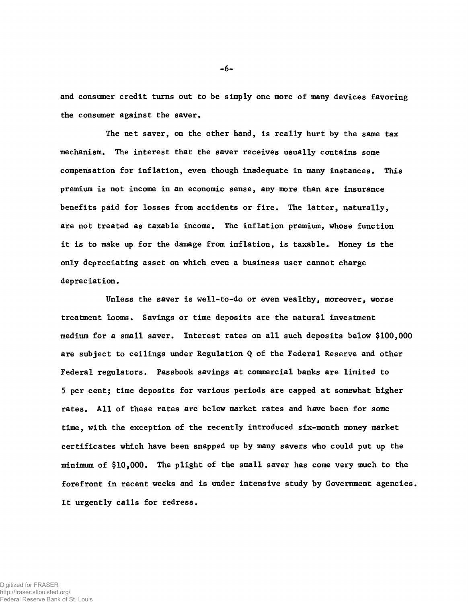and consumer credit turns out to be simply one more of many devices favoring the consumer against the saver.

The net saver, on the other hand, is really hurt by the same tax mechanism. The interest that the saver receives usually contains some compensation for inflation, even though inadequate in many instances. This premium is not income in an economic sense, any more than are insurance benefits paid for losses from accidents or fire. The latter, naturally, are not treated as taxable income. The inflation premium, whose function it is to make up for the damage from inflation, is taxable. Money is the only depreciating asset on which even a business user cannot charge depreciation.

Unless the saver is well-to-do or even wealthy, moreover, worse treatment looms. Savings or time deposits are the natural investment medium for a small saver. Interest rates on all such deposits below \$100,000 are subject to ceilings under Regulation Q of the Federal Reserve and other Federal regulators. Passbook savings at commercial banks are limited to 5 per cent; time deposits for various periods are capped at somewhat higher rates. All of these rates are below market rates and have been for some time, with the exception of the recently introduced six-month money market certificates which have been snapped up by many savers who could put up the minimum of \$10,000. The plight of the small saver has come very much to the forefront in recent weeks and is under intensive study by Government agencies. It urgently calls for redress.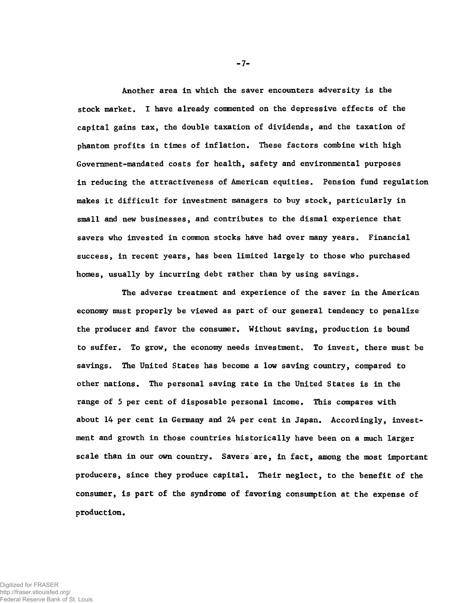Another area in which the saver encounters adversity is the stock market. I have already conmented on the depressive effects of the capital gains tax, the double taxation of dividends, and the taxation of phantom profits in times of inflation. These factors combine with high Government-mandated costs for health, safety and environmental purposes in reducing the attractiveness of American equities. Pension fund regulation makes it difficult for investment managers to buy stock, particularly in small and new businesses, and contributes to the dismal experience that savers who invested in common stocks have had over many years. Financial success, in recent years, has been limited largely to those who purchased homes, usually by incurring debt rather than by using savings.

The adverse treatment and experience of the saver in the American economy must properly be viewed as part of our general tendency to penalize the producer and favor the consumer. Without saving, production is bound to suffer. To grow, the economy needs investment. To invest, there must be savings. The United States has become a low saving country, compared to other nations. The personal saving rate in the United States is in the range of 5 per cent of disposable personal income. This compares with about 14 per cent in Germany and 24 per cent in Japan. Accordingly, investment and growth in those countries historically have been on a much larger scale than in our own country. Savers are, in fact, among the most important producers, since they produce capital. Their neglect, to the benefit of the consumer, is part of the syndrome of favoring consumption at the expense of production.

-7-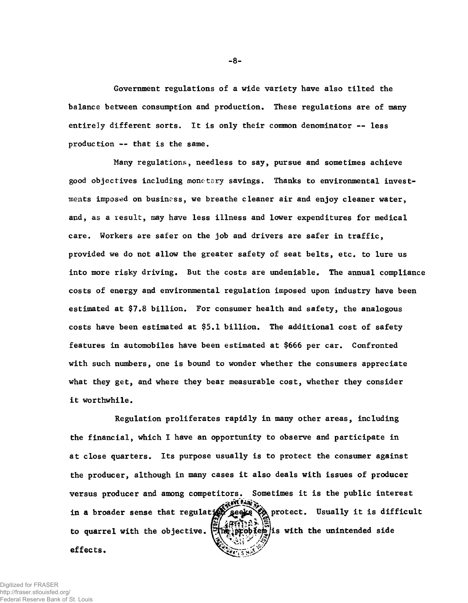Government regulations of a wide variety have also tilted the balance between consumption and production. These regulations are of many entirely different sorts. It is only their common denominator -- less production -- that is the same.

Many regulations, needless to say, pursue and sometimes achieve good objectives including monetary savings. Thanks to environmental investments imposed on business, we breathe cleaner air and enjoy cleaner water, and, as a result, may have less illness and lower expenditures for medical care. Workers are safer on the job and drivers are safer in traffic, provided we do not allow the greater safety of seat belts, etc. to lure us into more risky driving. But the costs are undeniable. The annual compliance costs of energy and environmental regulation imposed upon industry have been estimated at \$7.8 billion. For consumer health and safety, the analogous costs have been estimated at \$5.1 billion. The additional cost of safety features in automobiles have been estimated at \$666 per car. Confronted with such numbers, one is bound to wonder whether the consumers appreciate what they get, and where they bear measurable cost, whether they consider it worthwhile.

Regulation proliferates rapidly in many other areas, including the financial, which I have an opportunity to observe and participate in at close quarters. Its purpose usually is to protect the consumer against the producer, although in many cases it also deals with issues of producer versus producer and among competitors. Sometimes it is the public interest **effects.** to quarrel with the objective. [The problem] is with the unintended side in a broader sense that regulation sense that regulation of the protect. Usually it is difficult

**-8-**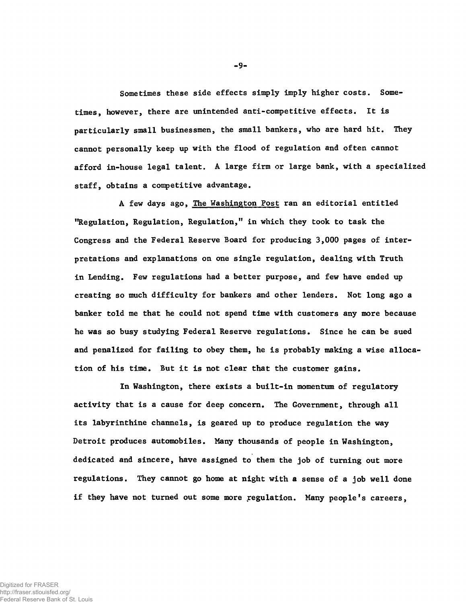Sometimes these side effects simply imply higher costs. Sometimes, however, there are unintended anti-competitive effects. It is particularly small businessmen, the small bankers, who are hard hit. They cannot personally keep up with the flood of regulation and often cannot afford in-house legal talent. A large firm or large bank, with a specialized staff, obtains a competitive advantage.

A few days ago, The Washington Post ran an editorial entitled "Regulation, Regulation, Regulation," in which they took to task the Congress and the Federal Reserve Board for producing 3,000 pages of interpretations and explanations on one single regulation, dealing with Truth in Lending. Few regulations had a better purpose, and few have ended up creating so much difficulty for bankers and other lenders. Not long ago a banker told me that he could not spend time with customers any more because he was so busy studying Federal Reserve regulations. Since he can be sued and penalized for failing to obey them, he is probably making a wise allocation of his time. But it is not clear that the customer gains.

In Washington, there exists a built-in momentum of regulatory activity that is a cause for deep concern. The Government, through all its labyrinthine channels, is geared up to produce regulation the way Detroit produces automobiles. Many thousands of people in Washington, dedicated and sincere, have assigned to them the job of turning out more regulations. They cannot go home at night with a sense of a job well done if they have not turned out some more regulation. Many people's careers,

-9-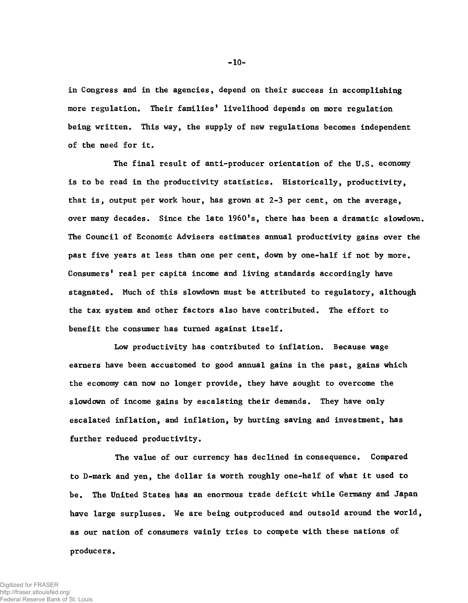in Congress and in the agencies, depend on their success in accomplishing more regulation. Their families' livelihood depends on more regulation being written. This way, the supply of new regulations becomes independent of the need for it.

The final result of anti-producer orientation of the U.S. economy is to be read in the productivity statistics. Historically, productivity, that is, output per work hour, has grown at 2-3 per cent, on the average, over many decades. Since the late 1960's, there has been a dramatic slowdown. The Council of Economic Advisers estimates annual productivity gains over the past five years at less than one per cent, down by one-half if not by more. Consumers' real per capita income and living standards accordingly have stagnated. Much of this slowdown must be attributed to regulatory, although the tax system and other factors also have contributed. The effort to benefit the consumer has turned against itself.

Low productivity has contributed to inflation. Because wage earners have been accustomed to good annual gains in the past, gains which the economy can now no longer provide, they have sought to overcome the slowdown of income gains by escalating their demands. They have only escalated inflation, and inflation, by hurting saving and investment, has further reduced productivity.

The value of our currency has declined in consequence. Compared to D-mark and yen, the dollar is worth roughly one-half of what it used to be. The United States has an enormous trade deficit while Germany and Japan have large surpluses. We are being outproduced and outsold around the world, as our nation of consumers vainly tries to compete with these nations of producers.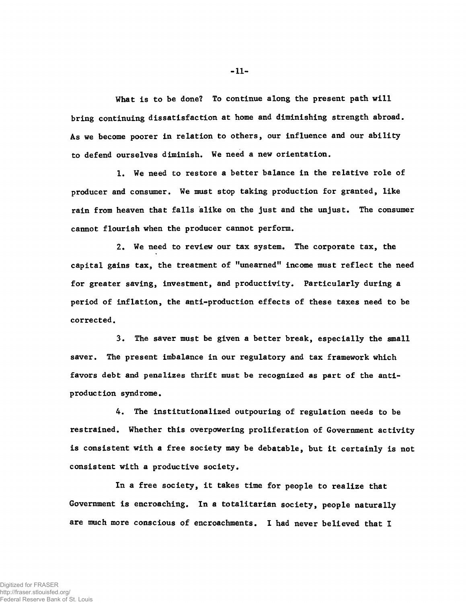What is to be done? To continue along the present path will bring continuing dissatisfaction at home and diminishing strength abroad. As we become poorer in relation to others, our influence and our ability to defend ourselves diminish. We need a new orientation.

1. We need to restore a better balance in the relative role of producer and consumer. We must stop taking production for granted, like rain from heaven that falls alike on the just and the unjust. The consumer cannot flourish when the producer cannot perform.

2. We need to review our tax system. The corporate tax, the capital gains tax, the treatment of "unearned" income must reflect the need for greater saving, investment, and productivity. Particularly during a period of inflation, the anti-production effects of these taxes need to be corrected.

3. The saver must be given a better break, especially the small saver. The present imbalance in our regulatory and tax framework which favors debt and penalizes thrift must be recognized as part of the antiproduction syndrome.

4. The institutionalized outpouring of regulation needs to be restrained. Whether this overpowering proliferation of Government activity is consistent with a free society may be debatable, but it certainly is not consistent with a productive society.

In a free society, it takes time for people to realize that Government is encroaching. In a totalitarian society, people naturally are much more conscious of encroachments. I had never believed that I